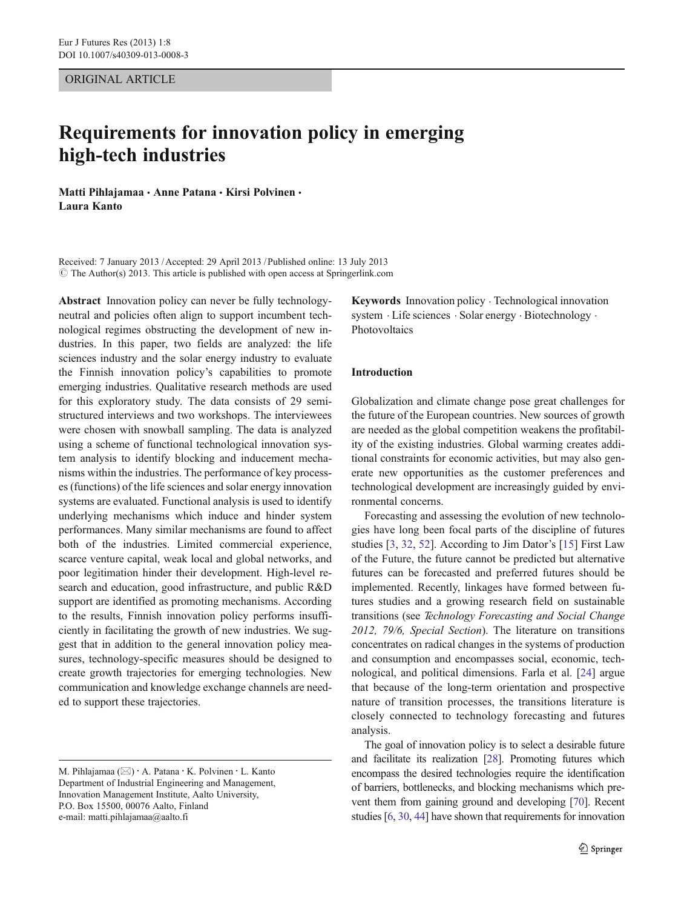# ORIGINAL ARTICLE

# Requirements for innovation policy in emerging high-tech industries

Matti Pihlajamaa · Anne Patana · Kirsi Polvinen · Laura Kanto

Received: 7 January 2013 /Accepted: 29 April 2013 / Published online: 13 July 2013 © The Author(s) 2013. This article is published with open access at Springerlink.com

Abstract Innovation policy can never be fully technologyneutral and policies often align to support incumbent technological regimes obstructing the development of new industries. In this paper, two fields are analyzed: the life sciences industry and the solar energy industry to evaluate the Finnish innovation policy's capabilities to promote emerging industries. Qualitative research methods are used for this exploratory study. The data consists of 29 semistructured interviews and two workshops. The interviewees were chosen with snowball sampling. The data is analyzed using a scheme of functional technological innovation system analysis to identify blocking and inducement mechanisms within the industries. The performance of key processes (functions) of the life sciences and solar energy innovation systems are evaluated. Functional analysis is used to identify underlying mechanisms which induce and hinder system performances. Many similar mechanisms are found to affect both of the industries. Limited commercial experience, scarce venture capital, weak local and global networks, and poor legitimation hinder their development. High-level research and education, good infrastructure, and public R&D support are identified as promoting mechanisms. According to the results, Finnish innovation policy performs insufficiently in facilitating the growth of new industries. We suggest that in addition to the general innovation policy measures, technology-specific measures should be designed to create growth trajectories for emerging technologies. New communication and knowledge exchange channels are needed to support these trajectories.

Keywords Innovation policy . Technological innovation system . Life sciences . Solar energy . Biotechnology . Photovoltaics

## Introduction

Globalization and climate change pose great challenges for the future of the European countries. New sources of growth are needed as the global competition weakens the profitability of the existing industries. Global warming creates additional constraints for economic activities, but may also generate new opportunities as the customer preferences and technological development are increasingly guided by environmental concerns.

Forecasting and assessing the evolution of new technologies have long been focal parts of the discipline of futures studies [\[3](#page-11-0), [32,](#page-12-0) [52\]](#page-12-0). According to Jim Dator's [\[15](#page-11-0)] First Law of the Future, the future cannot be predicted but alternative futures can be forecasted and preferred futures should be implemented. Recently, linkages have formed between futures studies and a growing research field on sustainable transitions (see Technology Forecasting and Social Change 2012, 79/6, Special Section). The literature on transitions concentrates on radical changes in the systems of production and consumption and encompasses social, economic, technological, and political dimensions. Farla et al. [[24\]](#page-12-0) argue that because of the long-term orientation and prospective nature of transition processes, the transitions literature is closely connected to technology forecasting and futures analysis.

The goal of innovation policy is to select a desirable future and facilitate its realization [\[28\]](#page-12-0). Promoting futures which encompass the desired technologies require the identification of barriers, bottlenecks, and blocking mechanisms which prevent them from gaining ground and developing [\[70\]](#page-13-0). Recent studies [\[6](#page-11-0), [30](#page-12-0), [44](#page-12-0)] have shown that requirements for innovation

M. Pihlajamaa ( $\boxtimes$ ) · A. Patana · K. Polvinen · L. Kanto Department of Industrial Engineering and Management, Innovation Management Institute, Aalto University, P.O. Box 15500, 00076 Aalto, Finland e-mail: matti.pihlajamaa@aalto.fi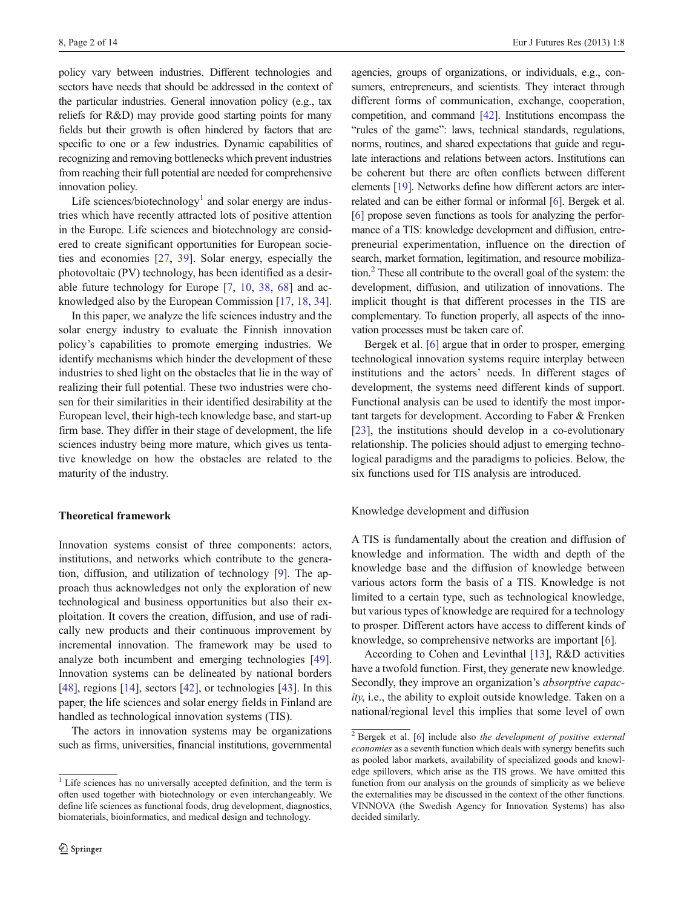policy vary between industries. Different technologies and sectors have needs that should be addressed in the context of the particular industries. General innovation policy (e.g., tax reliefs for R&D) may provide good starting points for many fields but their growth is often hindered by factors that are specific to one or a few industries. Dynamic capabilities of recognizing and removing bottlenecks which prevent industries from reaching their full potential are needed for comprehensive innovation policy.

Life sciences/biotechnology<sup>1</sup> and solar energy are industries which have recently attracted lots of positive attention in the Europe. Life sciences and biotechnology are considered to create significant opportunities for European societies and economies [[27,](#page-12-0) [39\]](#page-12-0). Solar energy, especially the photovoltaic (PV) technology, has been identified as a desirable future technology for Europe [[7,](#page-11-0) [10](#page-11-0), [38](#page-12-0), [68\]](#page-13-0) and acknowledged also by the European Commission [[17,](#page-11-0) [18](#page-11-0), [34](#page-12-0)].

In this paper, we analyze the life sciences industry and the solar energy industry to evaluate the Finnish innovation policy's capabilities to promote emerging industries. We identify mechanisms which hinder the development of these industries to shed light on the obstacles that lie in the way of realizing their full potential. These two industries were chosen for their similarities in their identified desirability at the European level, their high-tech knowledge base, and start-up firm base. They differ in their stage of development, the life sciences industry being more mature, which gives us tentative knowledge on how the obstacles are related to the maturity of the industry.

# Theoretical framework

Innovation systems consist of three components: actors, institutions, and networks which contribute to the generation, diffusion, and utilization of technology [[9](#page-11-0)]. The approach thus acknowledges not only the exploration of new technological and business opportunities but also their exploitation. It covers the creation, diffusion, and use of radically new products and their continuous improvement by incremental innovation. The framework may be used to analyze both incumbent and emerging technologies [\[49](#page-12-0)]. Innovation systems can be delineated by national borders [\[48](#page-12-0)], regions [[14\]](#page-11-0), sectors [[42\]](#page-12-0), or technologies [\[43](#page-12-0)]. In this paper, the life sciences and solar energy fields in Finland are handled as technological innovation systems (TIS).

The actors in innovation systems may be organizations such as firms, universities, financial institutions, governmental

agencies, groups of organizations, or individuals, e.g., consumers, entrepreneurs, and scientists. They interact through different forms of communication, exchange, cooperation, competition, and command [\[42\]](#page-12-0). Institutions encompass the "rules of the game": laws, technical standards, regulations, norms, routines, and shared expectations that guide and regulate interactions and relations between actors. Institutions can be coherent but there are often conflicts between different elements [[19](#page-12-0)]. Networks define how different actors are interrelated and can be either formal or informal [[6](#page-11-0)]. Bergek et al. [\[6](#page-11-0)] propose seven functions as tools for analyzing the performance of a TIS: knowledge development and diffusion, entrepreneurial experimentation, influence on the direction of search, market formation, legitimation, and resource mobilization.2 These all contribute to the overall goal of the system: the development, diffusion, and utilization of innovations. The implicit thought is that different processes in the TIS are complementary. To function properly, all aspects of the innovation processes must be taken care of.

Bergek et al. [\[6](#page-11-0)] argue that in order to prosper, emerging technological innovation systems require interplay between institutions and the actors' needs. In different stages of development, the systems need different kinds of support. Functional analysis can be used to identify the most important targets for development. According to Faber & Frenken [\[23](#page-12-0)], the institutions should develop in a co-evolutionary relationship. The policies should adjust to emerging technological paradigms and the paradigms to policies. Below, the six functions used for TIS analysis are introduced.

#### Knowledge development and diffusion

A TIS is fundamentally about the creation and diffusion of knowledge and information. The width and depth of the knowledge base and the diffusion of knowledge between various actors form the basis of a TIS. Knowledge is not limited to a certain type, such as technological knowledge, but various types of knowledge are required for a technology to prosper. Different actors have access to different kinds of knowledge, so comprehensive networks are important [[6\]](#page-11-0).

According to Cohen and Levinthal [[13\]](#page-11-0), R&D activities have a twofold function. First, they generate new knowledge. Secondly, they improve an organization's *absorptive capac*ity, i.e., the ability to exploit outside knowledge. Taken on a national/regional level this implies that some level of own

<sup>&</sup>lt;sup>1</sup> Life sciences has no universally accepted definition, and the term is often used together with biotechnology or even interchangeably. We define life sciences as functional foods, drug development, diagnostics, biomaterials, bioinformatics, and medical design and technology.

 $2$  Bergek et al. [[6](#page-11-0)] include also the development of positive external economies as a seventh function which deals with synergy benefits such as pooled labor markets, availability of specialized goods and knowledge spillovers, which arise as the TIS grows. We have omitted this function from our analysis on the grounds of simplicity as we believe the externalities may be discussed in the context of the other functions. VINNOVA (the Swedish Agency for Innovation Systems) has also decided similarly.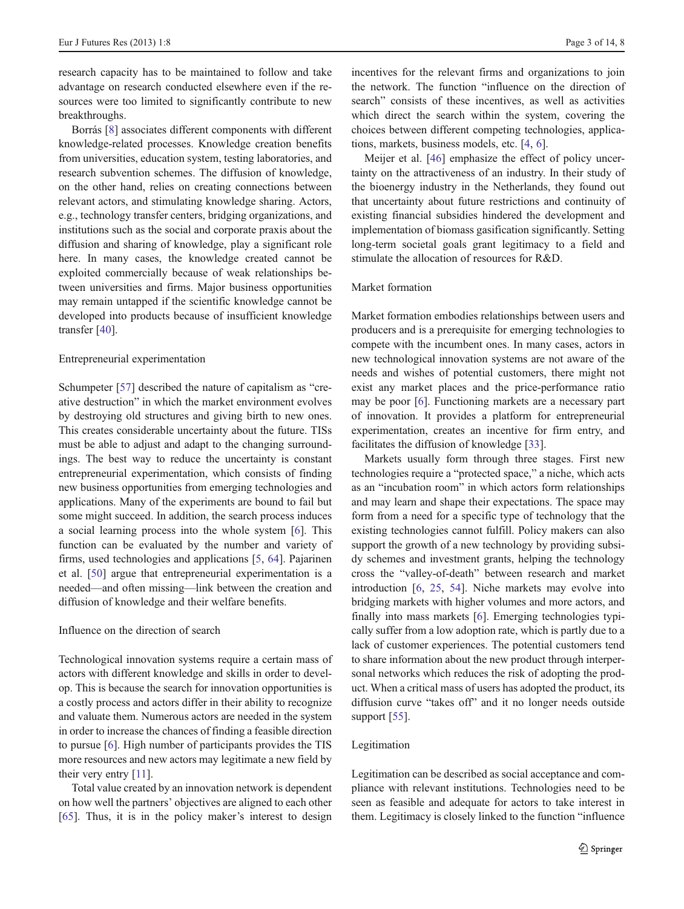research capacity has to be maintained to follow and take advantage on research conducted elsewhere even if the resources were too limited to significantly contribute to new breakthroughs.

Borrás [[8\]](#page-11-0) associates different components with different knowledge-related processes. Knowledge creation benefits from universities, education system, testing laboratories, and research subvention schemes. The diffusion of knowledge, on the other hand, relies on creating connections between relevant actors, and stimulating knowledge sharing. Actors, e.g., technology transfer centers, bridging organizations, and institutions such as the social and corporate praxis about the diffusion and sharing of knowledge, play a significant role here. In many cases, the knowledge created cannot be exploited commercially because of weak relationships between universities and firms. Major business opportunities may remain untapped if the scientific knowledge cannot be developed into products because of insufficient knowledge transfer [[40\]](#page-12-0).

# Entrepreneurial experimentation

Schumpeter [\[57](#page-12-0)] described the nature of capitalism as "creative destruction" in which the market environment evolves by destroying old structures and giving birth to new ones. This creates considerable uncertainty about the future. TISs must be able to adjust and adapt to the changing surroundings. The best way to reduce the uncertainty is constant entrepreneurial experimentation, which consists of finding new business opportunities from emerging technologies and applications. Many of the experiments are bound to fail but some might succeed. In addition, the search process induces a social learning process into the whole system [[6\]](#page-11-0). This function can be evaluated by the number and variety of firms, used technologies and applications [[5,](#page-11-0) [64](#page-12-0)]. Pajarinen et al. [\[50](#page-12-0)] argue that entrepreneurial experimentation is a needed—and often missing—link between the creation and diffusion of knowledge and their welfare benefits.

# Influence on the direction of search

Technological innovation systems require a certain mass of actors with different knowledge and skills in order to develop. This is because the search for innovation opportunities is a costly process and actors differ in their ability to recognize and valuate them. Numerous actors are needed in the system in order to increase the chances of finding a feasible direction to pursue [[6\]](#page-11-0). High number of participants provides the TIS more resources and new actors may legitimate a new field by their very entry [\[11\]](#page-11-0).

Total value created by an innovation network is dependent on how well the partners' objectives are aligned to each other [\[65](#page-13-0)]. Thus, it is in the policy maker's interest to design

incentives for the relevant firms and organizations to join the network. The function "influence on the direction of search" consists of these incentives, as well as activities which direct the search within the system, covering the choices between different competing technologies, applications, markets, business models, etc. [[4,](#page-11-0) [6](#page-11-0)].

Meijer et al. [[46\]](#page-12-0) emphasize the effect of policy uncertainty on the attractiveness of an industry. In their study of the bioenergy industry in the Netherlands, they found out that uncertainty about future restrictions and continuity of existing financial subsidies hindered the development and implementation of biomass gasification significantly. Setting long-term societal goals grant legitimacy to a field and stimulate the allocation of resources for R&D.

# Market formation

Market formation embodies relationships between users and producers and is a prerequisite for emerging technologies to compete with the incumbent ones. In many cases, actors in new technological innovation systems are not aware of the needs and wishes of potential customers, there might not exist any market places and the price-performance ratio may be poor [\[6](#page-11-0)]. Functioning markets are a necessary part of innovation. It provides a platform for entrepreneurial experimentation, creates an incentive for firm entry, and facilitates the diffusion of knowledge [\[33](#page-12-0)].

Markets usually form through three stages. First new technologies require a "protected space," a niche, which acts as an "incubation room" in which actors form relationships and may learn and shape their expectations. The space may form from a need for a specific type of technology that the existing technologies cannot fulfill. Policy makers can also support the growth of a new technology by providing subsidy schemes and investment grants, helping the technology cross the "valley-of-death" between research and market introduction [\[6](#page-11-0), [25](#page-12-0), [54\]](#page-12-0). Niche markets may evolve into bridging markets with higher volumes and more actors, and finally into mass markets [\[6](#page-11-0)]. Emerging technologies typically suffer from a low adoption rate, which is partly due to a lack of customer experiences. The potential customers tend to share information about the new product through interpersonal networks which reduces the risk of adopting the product. When a critical mass of users has adopted the product, its diffusion curve "takes off" and it no longer needs outside support [[55\]](#page-12-0).

# Legitimation

Legitimation can be described as social acceptance and compliance with relevant institutions. Technologies need to be seen as feasible and adequate for actors to take interest in them. Legitimacy is closely linked to the function "influence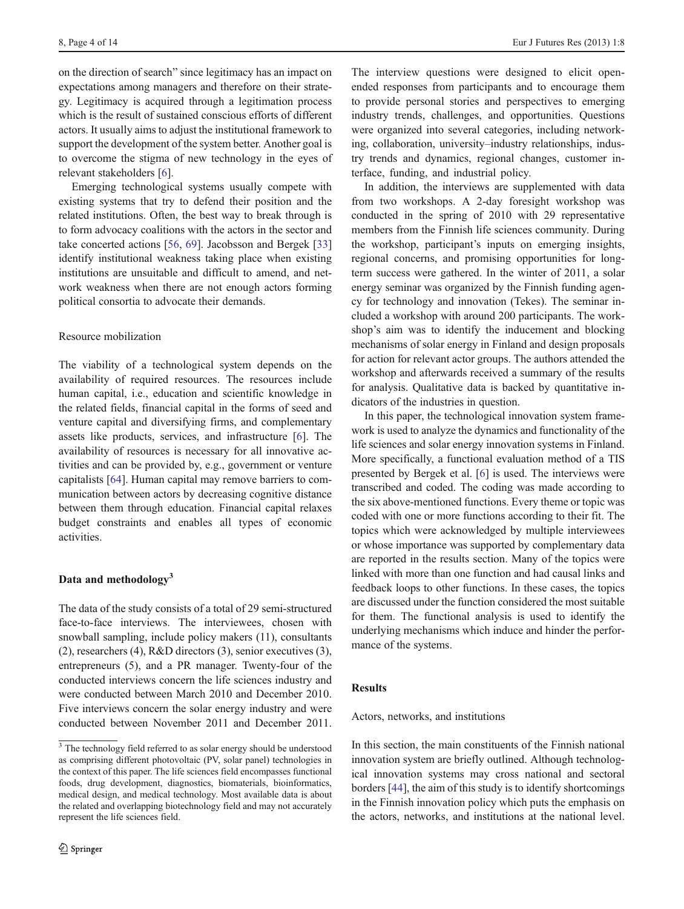on the direction of search" since legitimacy has an impact on expectations among managers and therefore on their strategy. Legitimacy is acquired through a legitimation process which is the result of sustained conscious efforts of different actors. It usually aims to adjust the institutional framework to support the development of the system better. Another goal is to overcome the stigma of new technology in the eyes of relevant stakeholders [[6\]](#page-11-0).

Emerging technological systems usually compete with existing systems that try to defend their position and the related institutions. Often, the best way to break through is to form advocacy coalitions with the actors in the sector and take concerted actions [\[56](#page-12-0), [69\]](#page-13-0). Jacobsson and Bergek [[33\]](#page-12-0) identify institutional weakness taking place when existing institutions are unsuitable and difficult to amend, and network weakness when there are not enough actors forming political consortia to advocate their demands.

## Resource mobilization

The viability of a technological system depends on the availability of required resources. The resources include human capital, i.e., education and scientific knowledge in the related fields, financial capital in the forms of seed and venture capital and diversifying firms, and complementary assets like products, services, and infrastructure [\[6](#page-11-0)]. The availability of resources is necessary for all innovative activities and can be provided by, e.g., government or venture capitalists [\[64](#page-12-0)]. Human capital may remove barriers to communication between actors by decreasing cognitive distance between them through education. Financial capital relaxes budget constraints and enables all types of economic activities.

## Data and methodology<sup>3</sup>

The data of the study consists of a total of 29 semi-structured face-to-face interviews. The interviewees, chosen with snowball sampling, include policy makers (11), consultants (2), researchers (4), R&D directors (3), senior executives (3), entrepreneurs (5), and a PR manager. Twenty-four of the conducted interviews concern the life sciences industry and were conducted between March 2010 and December 2010. Five interviews concern the solar energy industry and were conducted between November 2011 and December 2011.

The interview questions were designed to elicit openended responses from participants and to encourage them to provide personal stories and perspectives to emerging industry trends, challenges, and opportunities. Questions were organized into several categories, including networking, collaboration, university–industry relationships, industry trends and dynamics, regional changes, customer interface, funding, and industrial policy.

In addition, the interviews are supplemented with data from two workshops. A 2-day foresight workshop was conducted in the spring of 2010 with 29 representative members from the Finnish life sciences community. During the workshop, participant's inputs on emerging insights, regional concerns, and promising opportunities for longterm success were gathered. In the winter of 2011, a solar energy seminar was organized by the Finnish funding agency for technology and innovation (Tekes). The seminar included a workshop with around 200 participants. The workshop's aim was to identify the inducement and blocking mechanisms of solar energy in Finland and design proposals for action for relevant actor groups. The authors attended the workshop and afterwards received a summary of the results for analysis. Qualitative data is backed by quantitative indicators of the industries in question.

In this paper, the technological innovation system framework is used to analyze the dynamics and functionality of the life sciences and solar energy innovation systems in Finland. More specifically, a functional evaluation method of a TIS presented by Bergek et al. [[6\]](#page-11-0) is used. The interviews were transcribed and coded. The coding was made according to the six above-mentioned functions. Every theme or topic was coded with one or more functions according to their fit. The topics which were acknowledged by multiple interviewees or whose importance was supported by complementary data are reported in the results section. Many of the topics were linked with more than one function and had causal links and feedback loops to other functions. In these cases, the topics are discussed under the function considered the most suitable for them. The functional analysis is used to identify the underlying mechanisms which induce and hinder the performance of the systems.

# Results

#### Actors, networks, and institutions

In this section, the main constituents of the Finnish national innovation system are briefly outlined. Although technological innovation systems may cross national and sectoral borders [\[44](#page-12-0)], the aim of this study is to identify shortcomings in the Finnish innovation policy which puts the emphasis on the actors, networks, and institutions at the national level.

<sup>&</sup>lt;sup>3</sup> The technology field referred to as solar energy should be understood as comprising different photovoltaic (PV, solar panel) technologies in the context of this paper. The life sciences field encompasses functional foods, drug development, diagnostics, biomaterials, bioinformatics, medical design, and medical technology. Most available data is about the related and overlapping biotechnology field and may not accurately represent the life sciences field.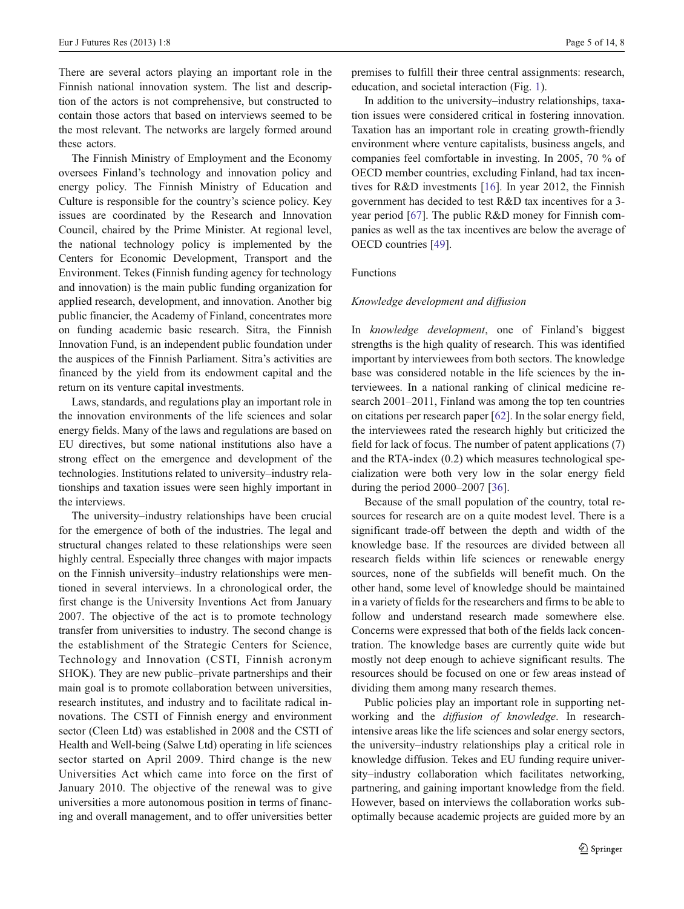There are several actors playing an important role in the Finnish national innovation system. The list and description of the actors is not comprehensive, but constructed to contain those actors that based on interviews seemed to be the most relevant. The networks are largely formed around these actors.

The Finnish Ministry of Employment and the Economy oversees Finland's technology and innovation policy and energy policy. The Finnish Ministry of Education and Culture is responsible for the country's science policy. Key issues are coordinated by the Research and Innovation Council, chaired by the Prime Minister. At regional level, the national technology policy is implemented by the Centers for Economic Development, Transport and the Environment. Tekes (Finnish funding agency for technology and innovation) is the main public funding organization for applied research, development, and innovation. Another big public financier, the Academy of Finland, concentrates more on funding academic basic research. Sitra, the Finnish Innovation Fund, is an independent public foundation under the auspices of the Finnish Parliament. Sitra's activities are financed by the yield from its endowment capital and the return on its venture capital investments.

Laws, standards, and regulations play an important role in the innovation environments of the life sciences and solar energy fields. Many of the laws and regulations are based on EU directives, but some national institutions also have a strong effect on the emergence and development of the technologies. Institutions related to university–industry relationships and taxation issues were seen highly important in the interviews.

The university–industry relationships have been crucial for the emergence of both of the industries. The legal and structural changes related to these relationships were seen highly central. Especially three changes with major impacts on the Finnish university–industry relationships were mentioned in several interviews. In a chronological order, the first change is the University Inventions Act from January 2007. The objective of the act is to promote technology transfer from universities to industry. The second change is the establishment of the Strategic Centers for Science, Technology and Innovation (CSTI, Finnish acronym SHOK). They are new public–private partnerships and their main goal is to promote collaboration between universities, research institutes, and industry and to facilitate radical innovations. The CSTI of Finnish energy and environment sector (Cleen Ltd) was established in 2008 and the CSTI of Health and Well-being (Salwe Ltd) operating in life sciences sector started on April 2009. Third change is the new Universities Act which came into force on the first of January 2010. The objective of the renewal was to give universities a more autonomous position in terms of financing and overall management, and to offer universities better

premises to fulfill their three central assignments: research, education, and societal interaction (Fig. [1](#page-5-0)).

In addition to the university–industry relationships, taxation issues were considered critical in fostering innovation. Taxation has an important role in creating growth-friendly environment where venture capitalists, business angels, and companies feel comfortable in investing. In 2005, 70 % of OECD member countries, excluding Finland, had tax incentives for R&D investments [[16\]](#page-11-0). In year 2012, the Finnish government has decided to test R&D tax incentives for a 3 year period [[67\]](#page-13-0). The public R&D money for Finnish companies as well as the tax incentives are below the average of OECD countries [[49\]](#page-12-0).

Functions

#### Knowledge development and diffusion

In knowledge development, one of Finland's biggest strengths is the high quality of research. This was identified important by interviewees from both sectors. The knowledge base was considered notable in the life sciences by the interviewees. In a national ranking of clinical medicine research 2001–2011, Finland was among the top ten countries on citations per research paper [[62\]](#page-12-0). In the solar energy field, the interviewees rated the research highly but criticized the field for lack of focus. The number of patent applications (7) and the RTA-index (0.2) which measures technological specialization were both very low in the solar energy field during the period 2000–2007 [\[36](#page-12-0)].

Because of the small population of the country, total resources for research are on a quite modest level. There is a significant trade-off between the depth and width of the knowledge base. If the resources are divided between all research fields within life sciences or renewable energy sources, none of the subfields will benefit much. On the other hand, some level of knowledge should be maintained in a variety of fields for the researchers and firms to be able to follow and understand research made somewhere else. Concerns were expressed that both of the fields lack concentration. The knowledge bases are currently quite wide but mostly not deep enough to achieve significant results. The resources should be focused on one or few areas instead of dividing them among many research themes.

Public policies play an important role in supporting networking and the diffusion of knowledge. In researchintensive areas like the life sciences and solar energy sectors, the university–industry relationships play a critical role in knowledge diffusion. Tekes and EU funding require university–industry collaboration which facilitates networking, partnering, and gaining important knowledge from the field. However, based on interviews the collaboration works suboptimally because academic projects are guided more by an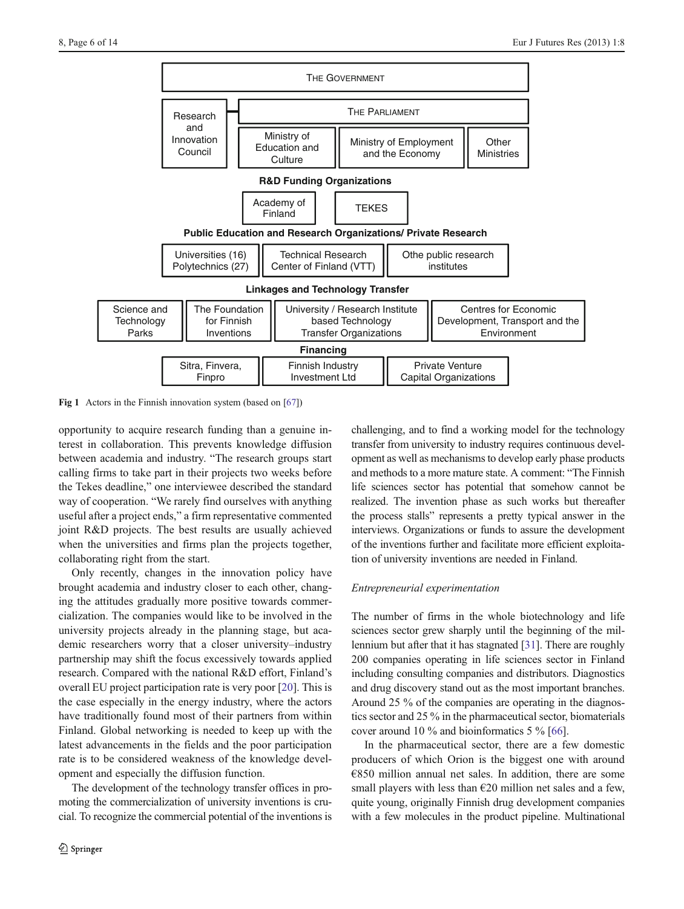<span id="page-5-0"></span>

Fig 1 Actors in the Finnish innovation system (based on [[67\]](#page-13-0))

opportunity to acquire research funding than a genuine interest in collaboration. This prevents knowledge diffusion between academia and industry. "The research groups start calling firms to take part in their projects two weeks before the Tekes deadline," one interviewee described the standard way of cooperation. "We rarely find ourselves with anything useful after a project ends," a firm representative commented joint R&D projects. The best results are usually achieved when the universities and firms plan the projects together, collaborating right from the start.

Only recently, changes in the innovation policy have brought academia and industry closer to each other, changing the attitudes gradually more positive towards commercialization. The companies would like to be involved in the university projects already in the planning stage, but academic researchers worry that a closer university–industry partnership may shift the focus excessively towards applied research. Compared with the national R&D effort, Finland's overall EU project participation rate is very poor [\[20](#page-12-0)]. This is the case especially in the energy industry, where the actors have traditionally found most of their partners from within Finland. Global networking is needed to keep up with the latest advancements in the fields and the poor participation rate is to be considered weakness of the knowledge development and especially the diffusion function.

The development of the technology transfer offices in promoting the commercialization of university inventions is crucial. To recognize the commercial potential of the inventions is challenging, and to find a working model for the technology transfer from university to industry requires continuous development as well as mechanisms to develop early phase products and methods to a more mature state. A comment: "The Finnish life sciences sector has potential that somehow cannot be realized. The invention phase as such works but thereafter the process stalls" represents a pretty typical answer in the interviews. Organizations or funds to assure the development of the inventions further and facilitate more efficient exploitation of university inventions are needed in Finland.

# Entrepreneurial experimentation

The number of firms in the whole biotechnology and life sciences sector grew sharply until the beginning of the millennium but after that it has stagnated [\[31\]](#page-12-0). There are roughly 200 companies operating in life sciences sector in Finland including consulting companies and distributors. Diagnostics and drug discovery stand out as the most important branches. Around 25 % of the companies are operating in the diagnostics sector and 25 % in the pharmaceutical sector, biomaterials cover around 10 % and bioinformatics 5 % [\[66](#page-13-0)].

In the pharmaceutical sector, there are a few domestic producers of which Orion is the biggest one with around €850 million annual net sales. In addition, there are some small players with less than  $\epsilon$ 20 million net sales and a few, quite young, originally Finnish drug development companies with a few molecules in the product pipeline. Multinational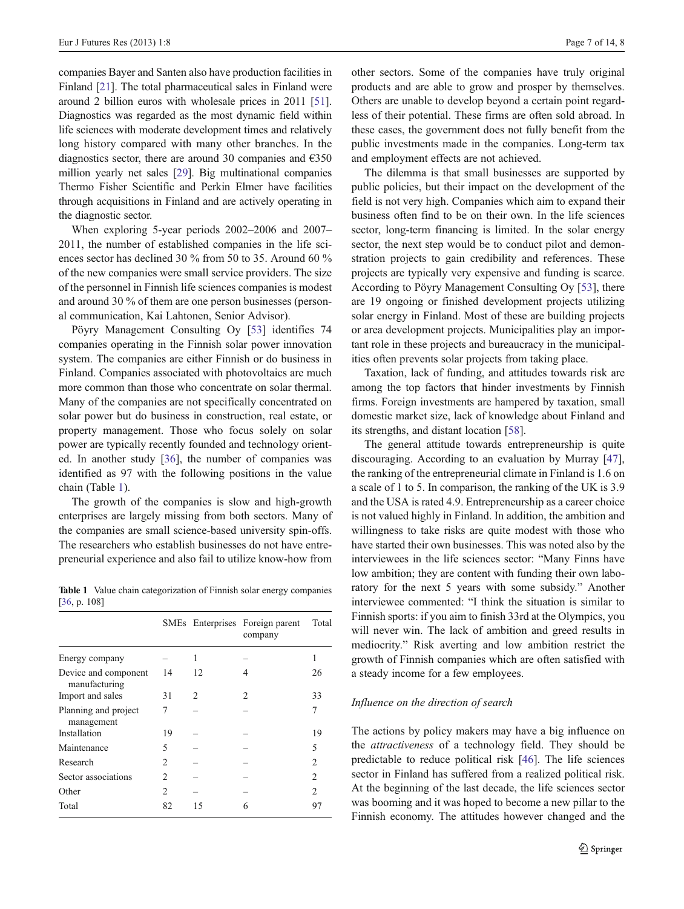companies Bayer and Santen also have production facilities in Finland [[21\]](#page-12-0). The total pharmaceutical sales in Finland were around 2 billion euros with wholesale prices in 2011 [[51\]](#page-12-0). Diagnostics was regarded as the most dynamic field within life sciences with moderate development times and relatively long history compared with many other branches. In the diagnostics sector, there are around 30 companies and  $\epsilon$ 350 million yearly net sales [[29\]](#page-12-0). Big multinational companies Thermo Fisher Scientific and Perkin Elmer have facilities through acquisitions in Finland and are actively operating in the diagnostic sector.

When exploring 5-year periods 2002–2006 and 2007– 2011, the number of established companies in the life sciences sector has declined 30 % from 50 to 35. Around 60 % of the new companies were small service providers. The size of the personnel in Finnish life sciences companies is modest and around 30 % of them are one person businesses (personal communication, Kai Lahtonen, Senior Advisor).

Pöyry Management Consulting Oy [\[53](#page-12-0)] identifies 74 companies operating in the Finnish solar power innovation system. The companies are either Finnish or do business in Finland. Companies associated with photovoltaics are much more common than those who concentrate on solar thermal. Many of the companies are not specifically concentrated on solar power but do business in construction, real estate, or property management. Those who focus solely on solar power are typically recently founded and technology oriented. In another study [\[36](#page-12-0)], the number of companies was identified as 97 with the following positions in the value chain (Table 1).

The growth of the companies is slow and high-growth enterprises are largely missing from both sectors. Many of the companies are small science-based university spin-offs. The researchers who establish businesses do not have entrepreneurial experience and also fail to utilize know-how from

Table 1 Value chain categorization of Finnish solar energy companies [[36](#page-12-0), p. 108]

|                                       |    |                | SMEs Enterprises Foreign parent<br>company | Total |
|---------------------------------------|----|----------------|--------------------------------------------|-------|
| Energy company                        |    |                |                                            |       |
| Device and component<br>manufacturing | 14 | 12             | 4                                          | 26    |
| Import and sales                      | 31 | $\mathfrak{D}$ | 2                                          | 33    |
| Planning and project<br>management    | 7  |                |                                            | 7     |
| Installation                          | 19 |                |                                            | 19    |
| Maintenance                           | 5  |                |                                            | 5     |
| Research                              | 2  |                |                                            | 2     |
| Sector associations                   | 2  |                |                                            | 2     |
| Other                                 | 2  |                |                                            | 2     |
| Total                                 | 82 | 15             | 6                                          | 97    |

other sectors. Some of the companies have truly original products and are able to grow and prosper by themselves. Others are unable to develop beyond a certain point regardless of their potential. These firms are often sold abroad. In these cases, the government does not fully benefit from the public investments made in the companies. Long-term tax and employment effects are not achieved.

The dilemma is that small businesses are supported by public policies, but their impact on the development of the field is not very high. Companies which aim to expand their business often find to be on their own. In the life sciences sector, long-term financing is limited. In the solar energy sector, the next step would be to conduct pilot and demonstration projects to gain credibility and references. These projects are typically very expensive and funding is scarce. According to Pöyry Management Consulting Oy [\[53](#page-12-0)], there are 19 ongoing or finished development projects utilizing solar energy in Finland. Most of these are building projects or area development projects. Municipalities play an important role in these projects and bureaucracy in the municipalities often prevents solar projects from taking place.

Taxation, lack of funding, and attitudes towards risk are among the top factors that hinder investments by Finnish firms. Foreign investments are hampered by taxation, small domestic market size, lack of knowledge about Finland and its strengths, and distant location [[58\]](#page-12-0).

The general attitude towards entrepreneurship is quite discouraging. According to an evaluation by Murray [[47\]](#page-12-0), the ranking of the entrepreneurial climate in Finland is 1.6 on a scale of 1 to 5. In comparison, the ranking of the UK is 3.9 and the USA is rated 4.9. Entrepreneurship as a career choice is not valued highly in Finland. In addition, the ambition and willingness to take risks are quite modest with those who have started their own businesses. This was noted also by the interviewees in the life sciences sector: "Many Finns have low ambition; they are content with funding their own laboratory for the next 5 years with some subsidy." Another interviewee commented: "I think the situation is similar to Finnish sports: if you aim to finish 33rd at the Olympics, you will never win. The lack of ambition and greed results in mediocrity." Risk averting and low ambition restrict the growth of Finnish companies which are often satisfied with a steady income for a few employees.

## Influence on the direction of search

The actions by policy makers may have a big influence on the attractiveness of a technology field. They should be predictable to reduce political risk [[46\]](#page-12-0). The life sciences sector in Finland has suffered from a realized political risk. At the beginning of the last decade, the life sciences sector was booming and it was hoped to become a new pillar to the Finnish economy. The attitudes however changed and the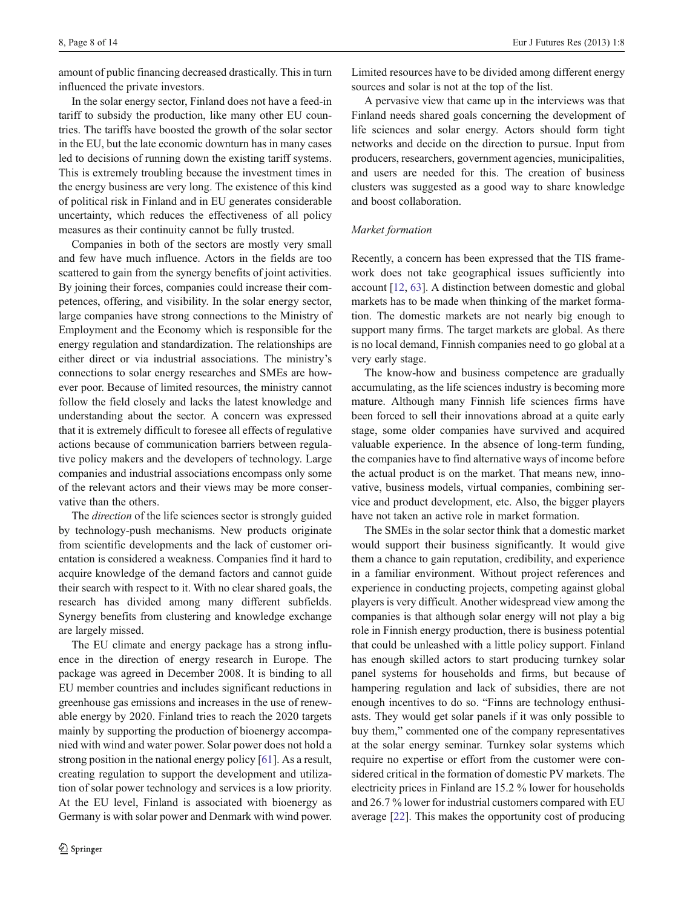amount of public financing decreased drastically. This in turn influenced the private investors.

In the solar energy sector, Finland does not have a feed-in tariff to subsidy the production, like many other EU countries. The tariffs have boosted the growth of the solar sector in the EU, but the late economic downturn has in many cases led to decisions of running down the existing tariff systems. This is extremely troubling because the investment times in the energy business are very long. The existence of this kind of political risk in Finland and in EU generates considerable uncertainty, which reduces the effectiveness of all policy measures as their continuity cannot be fully trusted.

Companies in both of the sectors are mostly very small and few have much influence. Actors in the fields are too scattered to gain from the synergy benefits of joint activities. By joining their forces, companies could increase their competences, offering, and visibility. In the solar energy sector, large companies have strong connections to the Ministry of Employment and the Economy which is responsible for the energy regulation and standardization. The relationships are either direct or via industrial associations. The ministry's connections to solar energy researches and SMEs are however poor. Because of limited resources, the ministry cannot follow the field closely and lacks the latest knowledge and understanding about the sector. A concern was expressed that it is extremely difficult to foresee all effects of regulative actions because of communication barriers between regulative policy makers and the developers of technology. Large companies and industrial associations encompass only some of the relevant actors and their views may be more conservative than the others.

The direction of the life sciences sector is strongly guided by technology-push mechanisms. New products originate from scientific developments and the lack of customer orientation is considered a weakness. Companies find it hard to acquire knowledge of the demand factors and cannot guide their search with respect to it. With no clear shared goals, the research has divided among many different subfields. Synergy benefits from clustering and knowledge exchange are largely missed.

The EU climate and energy package has a strong influence in the direction of energy research in Europe. The package was agreed in December 2008. It is binding to all EU member countries and includes significant reductions in greenhouse gas emissions and increases in the use of renewable energy by 2020. Finland tries to reach the 2020 targets mainly by supporting the production of bioenergy accompanied with wind and water power. Solar power does not hold a strong position in the national energy policy [[61\]](#page-12-0). As a result, creating regulation to support the development and utilization of solar power technology and services is a low priority. At the EU level, Finland is associated with bioenergy as Germany is with solar power and Denmark with wind power. Limited resources have to be divided among different energy sources and solar is not at the top of the list.

A pervasive view that came up in the interviews was that Finland needs shared goals concerning the development of life sciences and solar energy. Actors should form tight networks and decide on the direction to pursue. Input from producers, researchers, government agencies, municipalities, and users are needed for this. The creation of business clusters was suggested as a good way to share knowledge and boost collaboration.

# Market formation

Recently, a concern has been expressed that the TIS framework does not take geographical issues sufficiently into account [[12,](#page-11-0) [63](#page-12-0)]. A distinction between domestic and global markets has to be made when thinking of the market formation. The domestic markets are not nearly big enough to support many firms. The target markets are global. As there is no local demand, Finnish companies need to go global at a very early stage.

The know-how and business competence are gradually accumulating, as the life sciences industry is becoming more mature. Although many Finnish life sciences firms have been forced to sell their innovations abroad at a quite early stage, some older companies have survived and acquired valuable experience. In the absence of long-term funding, the companies have to find alternative ways of income before the actual product is on the market. That means new, innovative, business models, virtual companies, combining service and product development, etc. Also, the bigger players have not taken an active role in market formation.

The SMEs in the solar sector think that a domestic market would support their business significantly. It would give them a chance to gain reputation, credibility, and experience in a familiar environment. Without project references and experience in conducting projects, competing against global players is very difficult. Another widespread view among the companies is that although solar energy will not play a big role in Finnish energy production, there is business potential that could be unleashed with a little policy support. Finland has enough skilled actors to start producing turnkey solar panel systems for households and firms, but because of hampering regulation and lack of subsidies, there are not enough incentives to do so. "Finns are technology enthusiasts. They would get solar panels if it was only possible to buy them," commented one of the company representatives at the solar energy seminar. Turnkey solar systems which require no expertise or effort from the customer were considered critical in the formation of domestic PV markets. The electricity prices in Finland are 15.2 % lower for households and 26.7 % lower for industrial customers compared with EU average [[22\]](#page-12-0). This makes the opportunity cost of producing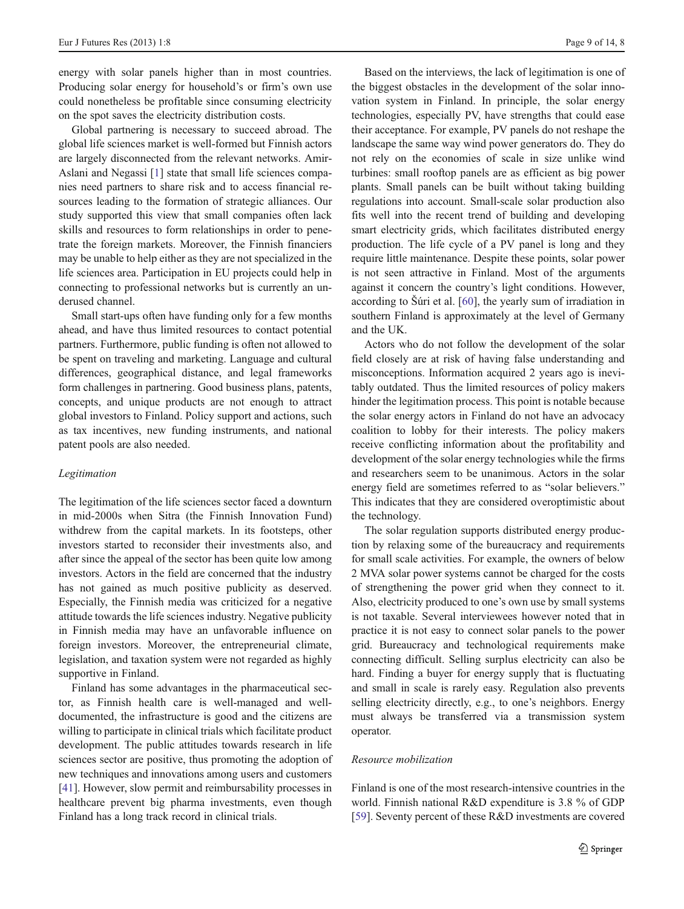energy with solar panels higher than in most countries. Producing solar energy for household's or firm's own use could nonetheless be profitable since consuming electricity on the spot saves the electricity distribution costs.

Global partnering is necessary to succeed abroad. The global life sciences market is well-formed but Finnish actors are largely disconnected from the relevant networks. Amir-Aslani and Negassi [\[1](#page-11-0)] state that small life sciences companies need partners to share risk and to access financial resources leading to the formation of strategic alliances. Our study supported this view that small companies often lack skills and resources to form relationships in order to penetrate the foreign markets. Moreover, the Finnish financiers may be unable to help either as they are not specialized in the life sciences area. Participation in EU projects could help in connecting to professional networks but is currently an underused channel.

Small start-ups often have funding only for a few months ahead, and have thus limited resources to contact potential partners. Furthermore, public funding is often not allowed to be spent on traveling and marketing. Language and cultural differences, geographical distance, and legal frameworks form challenges in partnering. Good business plans, patents, concepts, and unique products are not enough to attract global investors to Finland. Policy support and actions, such as tax incentives, new funding instruments, and national patent pools are also needed.

## Legitimation

The legitimation of the life sciences sector faced a downturn in mid-2000s when Sitra (the Finnish Innovation Fund) withdrew from the capital markets. In its footsteps, other investors started to reconsider their investments also, and after since the appeal of the sector has been quite low among investors. Actors in the field are concerned that the industry has not gained as much positive publicity as deserved. Especially, the Finnish media was criticized for a negative attitude towards the life sciences industry. Negative publicity in Finnish media may have an unfavorable influence on foreign investors. Moreover, the entrepreneurial climate, legislation, and taxation system were not regarded as highly supportive in Finland.

Finland has some advantages in the pharmaceutical sector, as Finnish health care is well-managed and welldocumented, the infrastructure is good and the citizens are willing to participate in clinical trials which facilitate product development. The public attitudes towards research in life sciences sector are positive, thus promoting the adoption of new techniques and innovations among users and customers [\[41](#page-12-0)]. However, slow permit and reimbursability processes in healthcare prevent big pharma investments, even though Finland has a long track record in clinical trials.

Based on the interviews, the lack of legitimation is one of the biggest obstacles in the development of the solar innovation system in Finland. In principle, the solar energy technologies, especially PV, have strengths that could ease their acceptance. For example, PV panels do not reshape the landscape the same way wind power generators do. They do not rely on the economies of scale in size unlike wind turbines: small rooftop panels are as efficient as big power plants. Small panels can be built without taking building regulations into account. Small-scale solar production also fits well into the recent trend of building and developing smart electricity grids, which facilitates distributed energy production. The life cycle of a PV panel is long and they require little maintenance. Despite these points, solar power is not seen attractive in Finland. Most of the arguments against it concern the country's light conditions. However, according to Šúri et al. [\[60](#page-12-0)], the yearly sum of irradiation in southern Finland is approximately at the level of Germany and the UK.

Actors who do not follow the development of the solar field closely are at risk of having false understanding and misconceptions. Information acquired 2 years ago is inevitably outdated. Thus the limited resources of policy makers hinder the legitimation process. This point is notable because the solar energy actors in Finland do not have an advocacy coalition to lobby for their interests. The policy makers receive conflicting information about the profitability and development of the solar energy technologies while the firms and researchers seem to be unanimous. Actors in the solar energy field are sometimes referred to as "solar believers." This indicates that they are considered overoptimistic about the technology.

The solar regulation supports distributed energy production by relaxing some of the bureaucracy and requirements for small scale activities. For example, the owners of below 2 MVA solar power systems cannot be charged for the costs of strengthening the power grid when they connect to it. Also, electricity produced to one's own use by small systems is not taxable. Several interviewees however noted that in practice it is not easy to connect solar panels to the power grid. Bureaucracy and technological requirements make connecting difficult. Selling surplus electricity can also be hard. Finding a buyer for energy supply that is fluctuating and small in scale is rarely easy. Regulation also prevents selling electricity directly, e.g., to one's neighbors. Energy must always be transferred via a transmission system operator.

#### Resource mobilization

Finland is one of the most research-intensive countries in the world. Finnish national R&D expenditure is 3.8 % of GDP [\[59](#page-12-0)]. Seventy percent of these R&D investments are covered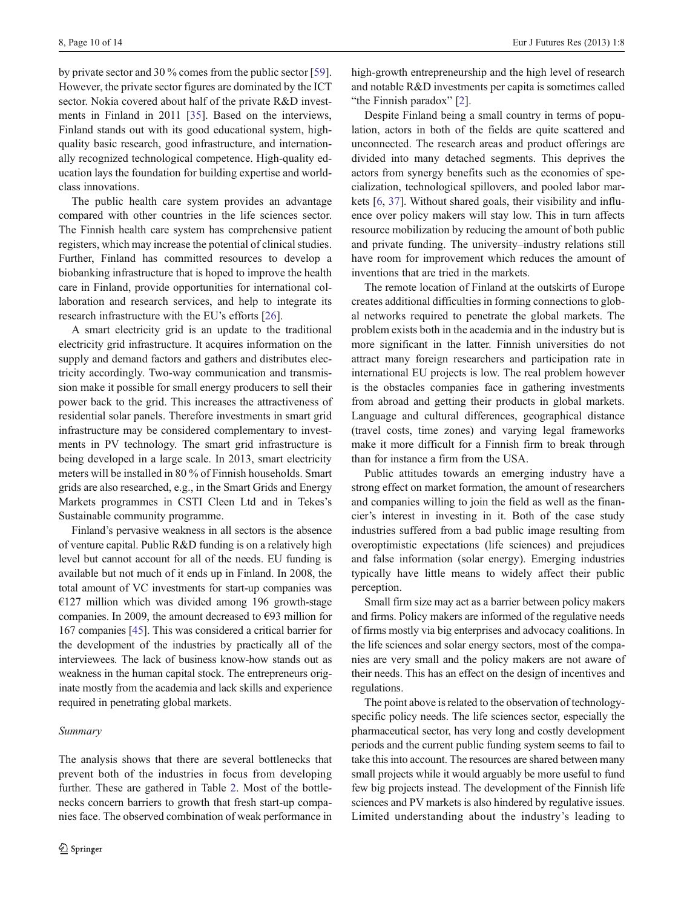by private sector and 30 % comes from the public sector [\[59](#page-12-0)]. However, the private sector figures are dominated by the ICT sector. Nokia covered about half of the private R&D investments in Finland in 2011 [[35\]](#page-12-0). Based on the interviews, Finland stands out with its good educational system, highquality basic research, good infrastructure, and internationally recognized technological competence. High-quality education lays the foundation for building expertise and worldclass innovations.

The public health care system provides an advantage compared with other countries in the life sciences sector. The Finnish health care system has comprehensive patient registers, which may increase the potential of clinical studies. Further, Finland has committed resources to develop a biobanking infrastructure that is hoped to improve the health care in Finland, provide opportunities for international collaboration and research services, and help to integrate its research infrastructure with the EU's efforts [[26\]](#page-12-0).

A smart electricity grid is an update to the traditional electricity grid infrastructure. It acquires information on the supply and demand factors and gathers and distributes electricity accordingly. Two-way communication and transmission make it possible for small energy producers to sell their power back to the grid. This increases the attractiveness of residential solar panels. Therefore investments in smart grid infrastructure may be considered complementary to investments in PV technology. The smart grid infrastructure is being developed in a large scale. In 2013, smart electricity meters will be installed in 80 % of Finnish households. Smart grids are also researched, e.g., in the Smart Grids and Energy Markets programmes in CSTI Cleen Ltd and in Tekes's Sustainable community programme.

Finland's pervasive weakness in all sectors is the absence of venture capital. Public R&D funding is on a relatively high level but cannot account for all of the needs. EU funding is available but not much of it ends up in Finland. In 2008, the total amount of VC investments for start-up companies was  $E127$  million which was divided among 196 growth-stage companies. In 2009, the amount decreased to €93 million for 167 companies [\[45\]](#page-12-0). This was considered a critical barrier for the development of the industries by practically all of the interviewees. The lack of business know-how stands out as weakness in the human capital stock. The entrepreneurs originate mostly from the academia and lack skills and experience required in penetrating global markets.

### Summary

The analysis shows that there are several bottlenecks that prevent both of the industries in focus from developing further. These are gathered in Table [2.](#page-10-0) Most of the bottlenecks concern barriers to growth that fresh start-up companies face. The observed combination of weak performance in

high-growth entrepreneurship and the high level of research and notable R&D investments per capita is sometimes called "the Finnish paradox" [[2\]](#page-11-0).

Despite Finland being a small country in terms of population, actors in both of the fields are quite scattered and unconnected. The research areas and product offerings are divided into many detached segments. This deprives the actors from synergy benefits such as the economies of specialization, technological spillovers, and pooled labor markets [\[6](#page-11-0), [37](#page-12-0)]. Without shared goals, their visibility and influence over policy makers will stay low. This in turn affects resource mobilization by reducing the amount of both public and private funding. The university–industry relations still have room for improvement which reduces the amount of inventions that are tried in the markets.

The remote location of Finland at the outskirts of Europe creates additional difficulties in forming connections to global networks required to penetrate the global markets. The problem exists both in the academia and in the industry but is more significant in the latter. Finnish universities do not attract many foreign researchers and participation rate in international EU projects is low. The real problem however is the obstacles companies face in gathering investments from abroad and getting their products in global markets. Language and cultural differences, geographical distance (travel costs, time zones) and varying legal frameworks make it more difficult for a Finnish firm to break through than for instance a firm from the USA.

Public attitudes towards an emerging industry have a strong effect on market formation, the amount of researchers and companies willing to join the field as well as the financier's interest in investing in it. Both of the case study industries suffered from a bad public image resulting from overoptimistic expectations (life sciences) and prejudices and false information (solar energy). Emerging industries typically have little means to widely affect their public perception.

Small firm size may act as a barrier between policy makers and firms. Policy makers are informed of the regulative needs of firms mostly via big enterprises and advocacy coalitions. In the life sciences and solar energy sectors, most of the companies are very small and the policy makers are not aware of their needs. This has an effect on the design of incentives and regulations.

The point above is related to the observation of technologyspecific policy needs. The life sciences sector, especially the pharmaceutical sector, has very long and costly development periods and the current public funding system seems to fail to take this into account. The resources are shared between many small projects while it would arguably be more useful to fund few big projects instead. The development of the Finnish life sciences and PV markets is also hindered by regulative issues. Limited understanding about the industry's leading to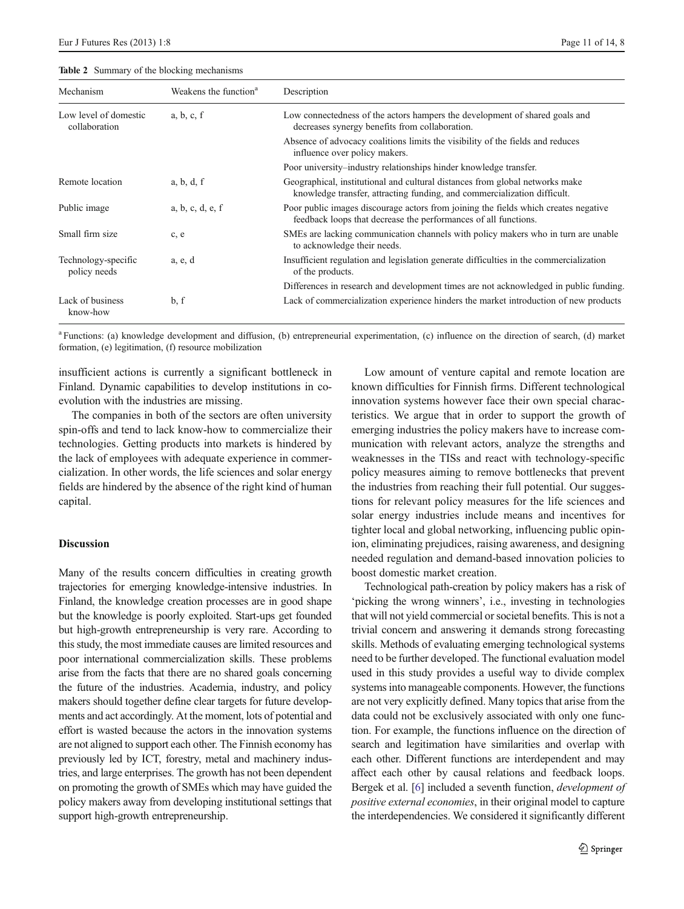<span id="page-10-0"></span>Table 2 Summary of the blocking mechanisms

| Mechanism                              | Weakens the function <sup>a</sup> | Description                                                                                                                                              |  |
|----------------------------------------|-----------------------------------|----------------------------------------------------------------------------------------------------------------------------------------------------------|--|
| Low level of domestic<br>collaboration | a, b, c, f                        | Low connectedness of the actors hampers the development of shared goals and<br>decreases synergy benefits from collaboration.                            |  |
|                                        |                                   | Absence of advocacy coalitions limits the visibility of the fields and reduces<br>influence over policy makers.                                          |  |
|                                        |                                   | Poor university-industry relationships hinder knowledge transfer.                                                                                        |  |
| Remote location                        | a, b, d, f                        | Geographical, institutional and cultural distances from global networks make<br>knowledge transfer, attracting funding, and commercialization difficult. |  |
| Public image                           | a, b, c, d, e, f                  | Poor public images discourage actors from joining the fields which creates negative<br>feedback loops that decrease the performances of all functions.   |  |
| Small firm size                        | c, e                              | SMEs are lacking communication channels with policy makers who in turn are unable<br>to acknowledge their needs.                                         |  |
| Technology-specific<br>policy needs    | a, e, d                           | Insufficient regulation and legislation generate difficulties in the commercialization<br>of the products.                                               |  |
|                                        |                                   | Differences in research and development times are not acknowledged in public funding.                                                                    |  |
| Lack of business<br>know-how           | b, f                              | Lack of commercialization experience hinders the market introduction of new products                                                                     |  |

<sup>a</sup> Functions: (a) knowledge development and diffusion, (b) entrepreneurial experimentation, (c) influence on the direction of search, (d) market formation, (e) legitimation, (f) resource mobilization

insufficient actions is currently a significant bottleneck in Finland. Dynamic capabilities to develop institutions in coevolution with the industries are missing.

The companies in both of the sectors are often university spin-offs and tend to lack know-how to commercialize their technologies. Getting products into markets is hindered by the lack of employees with adequate experience in commercialization. In other words, the life sciences and solar energy fields are hindered by the absence of the right kind of human capital.

# Discussion

Many of the results concern difficulties in creating growth trajectories for emerging knowledge-intensive industries. In Finland, the knowledge creation processes are in good shape but the knowledge is poorly exploited. Start-ups get founded but high-growth entrepreneurship is very rare. According to this study, the most immediate causes are limited resources and poor international commercialization skills. These problems arise from the facts that there are no shared goals concerning the future of the industries. Academia, industry, and policy makers should together define clear targets for future developments and act accordingly. At the moment, lots of potential and effort is wasted because the actors in the innovation systems are not aligned to support each other. The Finnish economy has previously led by ICT, forestry, metal and machinery industries, and large enterprises. The growth has not been dependent on promoting the growth of SMEs which may have guided the policy makers away from developing institutional settings that support high-growth entrepreneurship.

Low amount of venture capital and remote location are known difficulties for Finnish firms. Different technological innovation systems however face their own special characteristics. We argue that in order to support the growth of emerging industries the policy makers have to increase communication with relevant actors, analyze the strengths and weaknesses in the TISs and react with technology-specific policy measures aiming to remove bottlenecks that prevent the industries from reaching their full potential. Our suggestions for relevant policy measures for the life sciences and solar energy industries include means and incentives for tighter local and global networking, influencing public opinion, eliminating prejudices, raising awareness, and designing needed regulation and demand-based innovation policies to boost domestic market creation.

Technological path-creation by policy makers has a risk of 'picking the wrong winners', i.e., investing in technologies that will not yield commercial or societal benefits. This is not a trivial concern and answering it demands strong forecasting skills. Methods of evaluating emerging technological systems need to be further developed. The functional evaluation model used in this study provides a useful way to divide complex systems into manageable components. However, the functions are not very explicitly defined. Many topics that arise from the data could not be exclusively associated with only one function. For example, the functions influence on the direction of search and legitimation have similarities and overlap with each other. Different functions are interdependent and may affect each other by causal relations and feedback loops. Bergek et al. [[6](#page-11-0)] included a seventh function, development of positive external economies, in their original model to capture the interdependencies. We considered it significantly different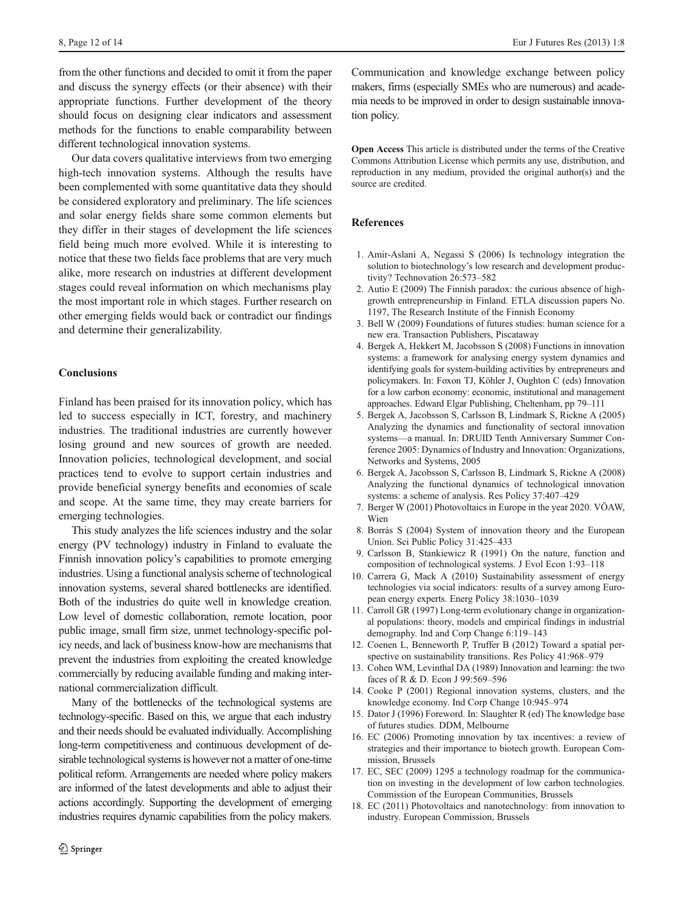<span id="page-11-0"></span>from the other functions and decided to omit it from the paper and discuss the synergy effects (or their absence) with their appropriate functions. Further development of the theory should focus on designing clear indicators and assessment methods for the functions to enable comparability between different technological innovation systems.

Our data covers qualitative interviews from two emerging high-tech innovation systems. Although the results have been complemented with some quantitative data they should be considered exploratory and preliminary. The life sciences and solar energy fields share some common elements but they differ in their stages of development the life sciences field being much more evolved. While it is interesting to notice that these two fields face problems that are very much alike, more research on industries at different development stages could reveal information on which mechanisms play the most important role in which stages. Further research on other emerging fields would back or contradict our findings and determine their generalizability.

# Conclusions

Finland has been praised for its innovation policy, which has led to success especially in ICT, forestry, and machinery industries. The traditional industries are currently however losing ground and new sources of growth are needed. Innovation policies, technological development, and social practices tend to evolve to support certain industries and provide beneficial synergy benefits and economies of scale and scope. At the same time, they may create barriers for emerging technologies.

This study analyzes the life sciences industry and the solar energy (PV technology) industry in Finland to evaluate the Finnish innovation policy's capabilities to promote emerging industries. Using a functional analysis scheme of technological innovation systems, several shared bottlenecks are identified. Both of the industries do quite well in knowledge creation. Low level of domestic collaboration, remote location, poor public image, small firm size, unmet technology-specific policy needs, and lack of business know-how are mechanisms that prevent the industries from exploiting the created knowledge commercially by reducing available funding and making international commercialization difficult.

Many of the bottlenecks of the technological systems are technology-specific. Based on this, we argue that each industry and their needs should be evaluated individually. Accomplishing long-term competitiveness and continuous development of desirable technological systems is however not a matter of one-time political reform. Arrangements are needed where policy makers are informed of the latest developments and able to adjust their actions accordingly. Supporting the development of emerging industries requires dynamic capabilities from the policy makers.

Communication and knowledge exchange between policy makers, firms (especially SMEs who are numerous) and academia needs to be improved in order to design sustainable innovation policy.

Open Access This article is distributed under the terms of the Creative Commons Attribution License which permits any use, distribution, and reproduction in any medium, provided the original author(s) and the source are credited.

## References

- 1. Amir-Aslani A, Negassi S (2006) Is technology integration the solution to biotechnology's low research and development productivity? Technovation 26:573–582
- 2. Autio E (2009) The Finnish paradox: the curious absence of highgrowth entrepreneurship in Finland. ETLA discussion papers No. 1197, The Research Institute of the Finnish Economy
- 3. Bell W (2009) Foundations of futures studies: human science for a new era. Transaction Publishers, Piscataway
- 4. Bergek A, Hekkert M, Jacobsson S (2008) Functions in innovation systems: a framework for analysing energy system dynamics and identifying goals for system-building activities by entrepreneurs and policymakers. In: Foxon TJ, Köhler J, Oughton C (eds) Innovation for a low carbon economy: economic, institutional and management approaches. Edward Elgar Publishing, Cheltenham, pp 79–111
- 5. Bergek A, Jacobsson S, Carlsson B, Lindmark S, Rickne A (2005) Analyzing the dynamics and functionality of sectoral innovation systems—a manual. In: DRUID Tenth Anniversary Summer Conference 2005: Dynamics of Industry and Innovation: Organizations, Networks and Systems, 2005
- 6. Bergek A, Jacobsson S, Carlsson B, Lindmark S, Rickne A (2008) Analyzing the functional dynamics of technological innovation systems: a scheme of analysis. Res Policy 37:407–429
- 7. Berger W (2001) Photovoltaics in Europe in the year 2020. VÖAW, Wien
- 8. Borrás S (2004) System of innovation theory and the European Union. Sci Public Policy 31:425–433
- 9. Carlsson B, Stankiewicz R (1991) On the nature, function and composition of technological systems. J Evol Econ 1:93–118
- 10. Carrera G, Mack A (2010) Sustainability assessment of energy technologies via social indicators: results of a survey among European energy experts. Energ Policy 38:1030–1039
- 11. Carroll GR (1997) Long-term evolutionary change in organizational populations: theory, models and empirical findings in industrial demography. Ind and Corp Change 6:119–143
- 12. Coenen L, Benneworth P, Truffer B (2012) Toward a spatial perspective on sustainability transitions. Res Policy 41:968–979
- 13. Cohen WM, Levinthal DA (1989) Innovation and learning: the two faces of R & D. Econ J 99:569–596
- 14. Cooke P (2001) Regional innovation systems, clusters, and the knowledge economy. Ind Corp Change 10:945–974
- 15. Dator J (1996) Foreword. In: Slaughter R (ed) The knowledge base of futures studies. DDM, Melbourne
- 16. EC (2006) Promoting innovation by tax incentives: a review of strategies and their importance to biotech growth. European Commission, Brussels
- 17. EC, SEC (2009) 1295 a technology roadmap for the communication on investing in the development of low carbon technologies. Commission of the European Communities, Brussels
- 18. EC (2011) Photovoltaics and nanotechnology: from innovation to industry. European Commission, Brussels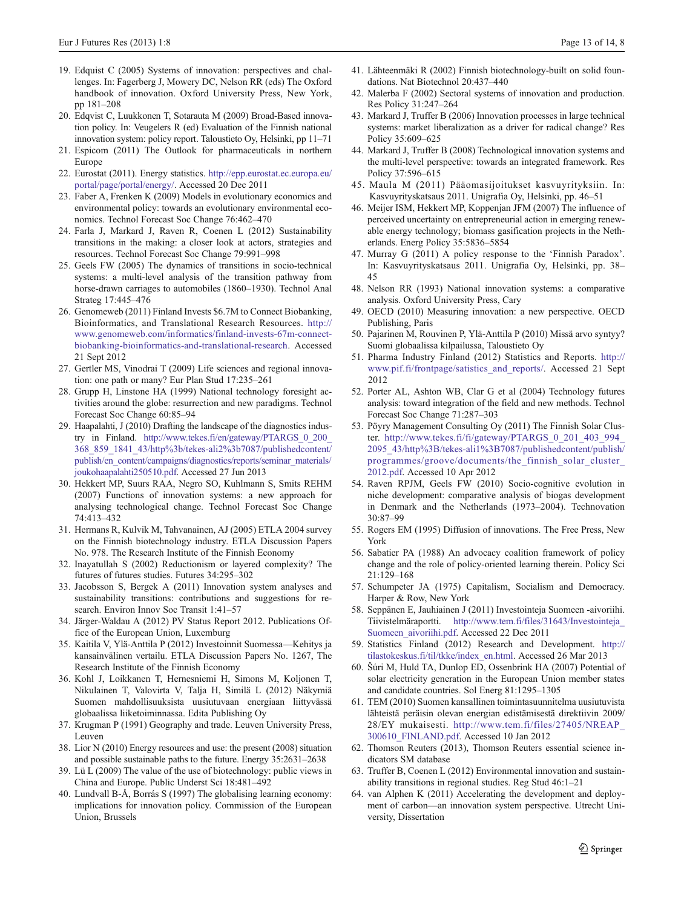- <span id="page-12-0"></span>19. Edquist C (2005) Systems of innovation: perspectives and challenges. In: Fagerberg J, Mowery DC, Nelson RR (eds) The Oxford handbook of innovation. Oxford University Press, New York, pp 181–208
- 20. Edqvist C, Luukkonen T, Sotarauta M (2009) Broad-Based innovation policy. In: Veugelers R (ed) Evaluation of the Finnish national innovation system: policy report. Taloustieto Oy, Helsinki, pp 11–71
- 21. Espicom (2011) The Outlook for pharmaceuticals in northern Europe
- 22. Eurostat (2011). Energy statistics. [http://epp.eurostat.ec.europa.eu/](http://epp.eurostat.ec.europa.eu/portal/page/portal/energy/) [portal/page/portal/energy/.](http://epp.eurostat.ec.europa.eu/portal/page/portal/energy/) Accessed 20 Dec 2011
- 23. Faber A, Frenken K (2009) Models in evolutionary economics and environmental policy: towards an evolutionary environmental economics. Technol Forecast Soc Change 76:462–470
- 24. Farla J, Markard J, Raven R, Coenen L (2012) Sustainability transitions in the making: a closer look at actors, strategies and resources. Technol Forecast Soc Change 79:991–998
- 25. Geels FW (2005) The dynamics of transitions in socio-technical systems: a multi-level analysis of the transition pathway from horse-drawn carriages to automobiles (1860–1930). Technol Anal Strateg 17:445–476
- 26. Genomeweb (2011) Finland Invests \$6.7M to Connect Biobanking, Bioinformatics, and Translational Research Resources. [http://](http://www.genomeweb.com/informatics/finland-invests-67m-connect-biobanking-bioinformatics-and-translational-research) [www.genomeweb.com/informatics/finland-invests-67m-connect](http://www.genomeweb.com/informatics/finland-invests-67m-connect-biobanking-bioinformatics-and-translational-research)[biobanking-bioinformatics-and-translational-research.](http://www.genomeweb.com/informatics/finland-invests-67m-connect-biobanking-bioinformatics-and-translational-research) Accessed 21 Sept 2012
- 27. Gertler MS, Vinodrai T (2009) Life sciences and regional innovation: one path or many? Eur Plan Stud 17:235–261
- 28. Grupp H, Linstone HA (1999) National technology foresight activities around the globe: resurrection and new paradigms. Technol Forecast Soc Change 60:85–94
- 29. Haapalahti, J (2010) Drafting the landscape of the diagnostics industry in Finland. [http://www.tekes.fi/en/gateway/PTARGS\\_0\\_200\\_](http://www.tekes.fi/en/gateway/PTARGS_0_200_368_859_1841_43/http%3b/tekes-ali2%3b7087/publishedcontent/publish/en_content/campaigns/diagnostics/reports/seminar_materials/joukohaapalahti250510.pdf) [368\\_859\\_1841\\_43/http%3b/tekes-ali2%3b7087/publishedcontent/](http://www.tekes.fi/en/gateway/PTARGS_0_200_368_859_1841_43/http%3b/tekes-ali2%3b7087/publishedcontent/publish/en_content/campaigns/diagnostics/reports/seminar_materials/joukohaapalahti250510.pdf) [publish/en\\_content/campaigns/diagnostics/reports/seminar\\_materials/](http://www.tekes.fi/en/gateway/PTARGS_0_200_368_859_1841_43/http%3b/tekes-ali2%3b7087/publishedcontent/publish/en_content/campaigns/diagnostics/reports/seminar_materials/joukohaapalahti250510.pdf) [joukohaapalahti250510.pdf.](http://www.tekes.fi/en/gateway/PTARGS_0_200_368_859_1841_43/http%3b/tekes-ali2%3b7087/publishedcontent/publish/en_content/campaigns/diagnostics/reports/seminar_materials/joukohaapalahti250510.pdf) Accessed 27 Jun 2013
- 30. Hekkert MP, Suurs RAA, Negro SO, Kuhlmann S, Smits REHM (2007) Functions of innovation systems: a new approach for analysing technological change. Technol Forecast Soc Change 74:413–432
- 31. Hermans R, Kulvik M, Tahvanainen, AJ (2005) ETLA 2004 survey on the Finnish biotechnology industry. ETLA Discussion Papers No. 978. The Research Institute of the Finnish Economy
- 32. Inayatullah S (2002) Reductionism or layered complexity? The futures of futures studies. Futures 34:295–302
- 33. Jacobsson S, Bergek A (2011) Innovation system analyses and sustainability transitions: contributions and suggestions for research. Environ Innov Soc Transit 1:41–57
- 34. Järger-Waldau A (2012) PV Status Report 2012. Publications Office of the European Union, Luxemburg
- 35. Kaitila V, Ylä-Anttila P (2012) Investoinnit Suomessa—Kehitys ja kansainvälinen vertailu. ETLA Discussion Papers No. 1267, The Research Institute of the Finnish Economy
- 36. Kohl J, Loikkanen T, Hernesniemi H, Simons M, Koljonen T, Nikulainen T, Valovirta V, Talja H, Similä L (2012) Näkymiä Suomen mahdollisuuksista uusiutuvaan energiaan liittyvässä globaalissa liiketoiminnassa. Edita Publishing Oy
- 37. Krugman P (1991) Geography and trade. Leuven University Press, Leuven
- 38. Lior N (2010) Energy resources and use: the present (2008) situation and possible sustainable paths to the future. Energy 35:2631–2638
- 39. Lü L (2009) The value of the use of biotechnology: public views in China and Europe. Public Underst Sci 18:481–492
- 40. Lundvall B-Å, Borrás S (1997) The globalising learning economy: implications for innovation policy. Commission of the European Union, Brussels
- 41. Lähteenmäki R (2002) Finnish biotechnology-built on solid foundations. Nat Biotechnol 20:437–440
- 42. Malerba F (2002) Sectoral systems of innovation and production. Res Policy 31:247–264
- 43. Markard J, Truffer B (2006) Innovation processes in large technical systems: market liberalization as a driver for radical change? Res Policy 35:609–625
- 44. Markard J, Truffer B (2008) Technological innovation systems and the multi-level perspective: towards an integrated framework. Res Policy 37:596–615
- 45. Maula M (2011) Pääomasijoitukset kasvuyrityksiin. In: Kasvuyrityskatsaus 2011. Unigrafia Oy, Helsinki, pp. 46–51
- 46. Meijer ISM, Hekkert MP, Koppenjan JFM (2007) The influence of perceived uncertainty on entrepreneurial action in emerging renewable energy technology; biomass gasification projects in the Netherlands. Energ Policy 35:5836–5854
- 47. Murray G (2011) A policy response to the 'Finnish Paradox'. In: Kasvuyrityskatsaus 2011. Unigrafia Oy, Helsinki, pp. 38– 45
- 48. Nelson RR (1993) National innovation systems: a comparative analysis. Oxford University Press, Cary
- 49. OECD (2010) Measuring innovation: a new perspective. OECD Publishing, Paris
- 50. Pajarinen M, Rouvinen P, Ylä-Anttila P (2010) Missä arvo syntyy? Suomi globaalissa kilpailussa, Taloustieto Oy
- 51. Pharma Industry Finland (2012) Statistics and Reports. [http://](http://www.pif.fi/frontpage/satistics_and_reports/) [www.pif.fi/frontpage/satistics\\_and\\_reports/](http://www.pif.fi/frontpage/satistics_and_reports/). Accessed 21 Sept 2012
- 52. Porter AL, Ashton WB, Clar G et al (2004) Technology futures analysis: toward integration of the field and new methods. Technol Forecast Soc Change 71:287–303
- 53. Pöyry Management Consulting Oy (2011) The Finnish Solar Cluster. [http://www.tekes.fi/fi/gateway/PTARGS\\_0\\_201\\_403\\_994\\_](http://www.tekes.fi/fi/gateway/PTARGS_0_201_403_994_2095_43/http%3B/tekes-ali1%3B7087/publishedcontent/publish/programmes/groove/documents/the_finnish_solar_cluster_2012.pdf) [2095\\_43/http%3B/tekes-ali1%3B7087/publishedcontent/publish/](http://www.tekes.fi/fi/gateway/PTARGS_0_201_403_994_2095_43/http%3B/tekes-ali1%3B7087/publishedcontent/publish/programmes/groove/documents/the_finnish_solar_cluster_2012.pdf) [programmes/groove/documents/the\\_finnish\\_solar\\_cluster\\_](http://www.tekes.fi/fi/gateway/PTARGS_0_201_403_994_2095_43/http%3B/tekes-ali1%3B7087/publishedcontent/publish/programmes/groove/documents/the_finnish_solar_cluster_2012.pdf) [2012.pdf](http://www.tekes.fi/fi/gateway/PTARGS_0_201_403_994_2095_43/http%3B/tekes-ali1%3B7087/publishedcontent/publish/programmes/groove/documents/the_finnish_solar_cluster_2012.pdf). Accessed 10 Apr 2012
- 54. Raven RPJM, Geels FW (2010) Socio-cognitive evolution in niche development: comparative analysis of biogas development in Denmark and the Netherlands (1973–2004). Technovation 30:87–99
- 55. Rogers EM (1995) Diffusion of innovations. The Free Press, New York
- 56. Sabatier PA (1988) An advocacy coalition framework of policy change and the role of policy-oriented learning therein. Policy Sci 21:129–168
- 57. Schumpeter JA (1975) Capitalism, Socialism and Democracy. Harper & Row, New York
- 58. Seppänen E, Jauhiainen J (2011) Investointeja Suomeen -aivoriihi. Tiivistelmäraportti. [http://www.tem.fi/files/31643/Investointeja\\_](http://www.tem.fi/files/31643/Investointeja_Suomeen_aivoriihi.pdf) [Suomeen\\_aivoriihi.pdf](http://www.tem.fi/files/31643/Investointeja_Suomeen_aivoriihi.pdf). Accessed 22 Dec 2011
- 59. Statistics Finland (2012) Research and Development. [http://](http://tilastokeskus.fi/til/tkke/index_en.html) [tilastokeskus.fi/til/tkke/index\\_en.html](http://tilastokeskus.fi/til/tkke/index_en.html). Accessed 26 Mar 2013
- 60. Šúri M, Huld TA, Dunlop ED, Ossenbrink HA (2007) Potential of solar electricity generation in the European Union member states and candidate countries. Sol Energ 81:1295–1305
- 61. TEM (2010) Suomen kansallinen toimintasuunnitelma uusiutuvista lähteistä peräisin olevan energian edistämisestä direktiivin 2009/ 28/EY mukaisesti. [http://www.tem.fi/files/27405/NREAP\\_](http://www.tem.fi/files/27405/NREAP_300610_FINLAND.pdf) [300610\\_FINLAND.pdf.](http://www.tem.fi/files/27405/NREAP_300610_FINLAND.pdf) Accessed 10 Jan 2012
- 62. Thomson Reuters (2013), Thomson Reuters essential science indicators SM database
- 63. Truffer B, Coenen L (2012) Environmental innovation and sustainability transitions in regional studies. Reg Stud 46:1–21
- 64. van Alphen K (2011) Accelerating the development and deployment of carbon—an innovation system perspective. Utrecht University, Dissertation